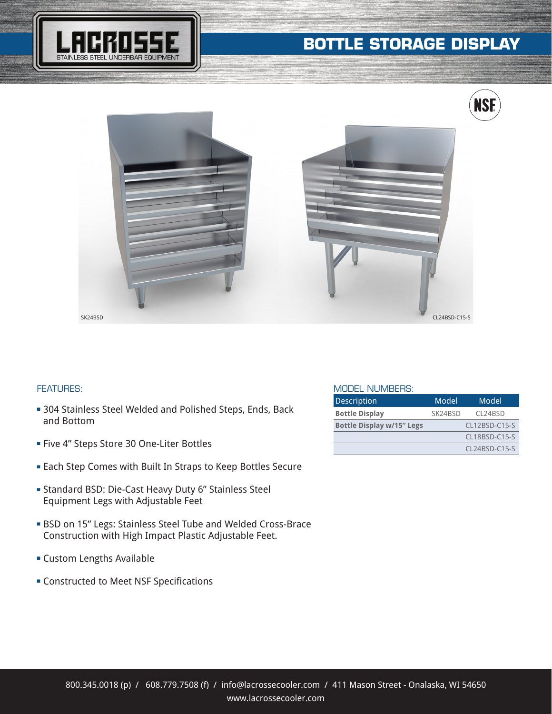## **BOTTLE STORAGE DISPLAY**





## FEATURES:

- **= 304 Stainless Steel Welded and Polished Steps, Ends, Back** and Bottom
- <sup>n</sup> Five 4" Steps Store 30 One-Liter Bottles
- **Each Step Comes with Built In Straps to Keep Bottles Secure**
- <sup>n</sup> Standard BSD: Die-Cast Heavy Duty 6" Stainless Steel Equipment Legs with Adjustable Feet
- **BSD on 15" Legs: Stainless Steel Tube and Welded Cross-Brace** Construction with High Impact Plastic Adjustable Feet.
- **Exercise Custom Lengths Available**
- **EX Constructed to Meet NSF Specifications**

## MODEL NUMBERS:

| <b>Description</b>               | Model                | Model         |
|----------------------------------|----------------------|---------------|
| <b>Bottle Display</b>            | SK <sub>24</sub> RSD | CL24BSD       |
| <b>Bottle Display w/15" Legs</b> |                      | CL12BSD-C15-S |
|                                  |                      | CL18BSD-C15-S |
|                                  |                      | CL24BSD-C15-S |